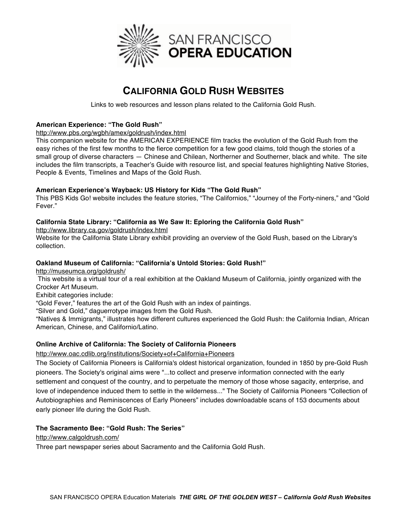

# **CALIFORNIA GOLD RUSH WEBSITES**

Links to web resources and lesson plans related to the California Gold Rush.

## **American Experience: "The Gold Rush"**

http://www.pbs.org/wgbh/amex/goldrush/index.html

This companion website for the AMERICAN EXPERIENCE film tracks the evolution of the Gold Rush from the easy riches of the first few months to the fierce competition for a few good claims, told though the stories of a small group of diverse characters — Chinese and Chilean, Northerner and Southerner, black and white. The site includes the film transcripts, a Teacher's Guide with resource list, and special features highlighting Native Stories, People & Events, Timelines and Maps of the Gold Rush.

### **American Experience's Wayback: US History for Kids "The Gold Rush"**

This PBS Kids Go! website includes the feature stories, "The Californios," "Journey of the Forty-niners," and "Gold Fever."

# **California State Library: "California as We Saw It: Eploring the California Gold Rush"**

http://www.library.ca.gov/goldrush/index.html

Website for the California State Library exhibit providing an overview of the Gold Rush, based on the Library's collection.

## **Oakland Museum of California: "California's Untold Stories: Gold Rush!"**

http://museumca.org/goldrush/

This website is a virtual tour of a real exhibition at the Oakland Museum of California, jointly organized with the Crocker Art Museum.

Exhibit categories include:

"Gold Fever," features the art of the Gold Rush with an index of paintings.

"Silver and Gold," daguerrotype images from the Gold Rush.

"Natives & Immigrants," illustrates how different cultures experienced the Gold Rush: the California Indian, African American, Chinese, and Californio/Latino.

### **Online Archive of California: The Society of California Pioneers**

### http://www.oac.cdlib.org/institutions/Society+of+California+Pioneers

The Society of California Pioneers is California's oldest historical organization, founded in 1850 by pre-Gold Rush pioneers. The Society's original aims were "...to collect and preserve information connected with the early settlement and conquest of the country, and to perpetuate the memory of those whose sagacity, enterprise, and love of independence induced them to settle in the wilderness..." The Society of California Pioneers "Collection of Autobiographies and Reminiscences of Early Pioneers" includes downloadable scans of 153 documents about early pioneer life during the Gold Rush.

## **The Sacramento Bee: "Gold Rush: The Series"**

http://www.calgoldrush.com/

Three part newspaper series about Sacramento and the California Gold Rush.